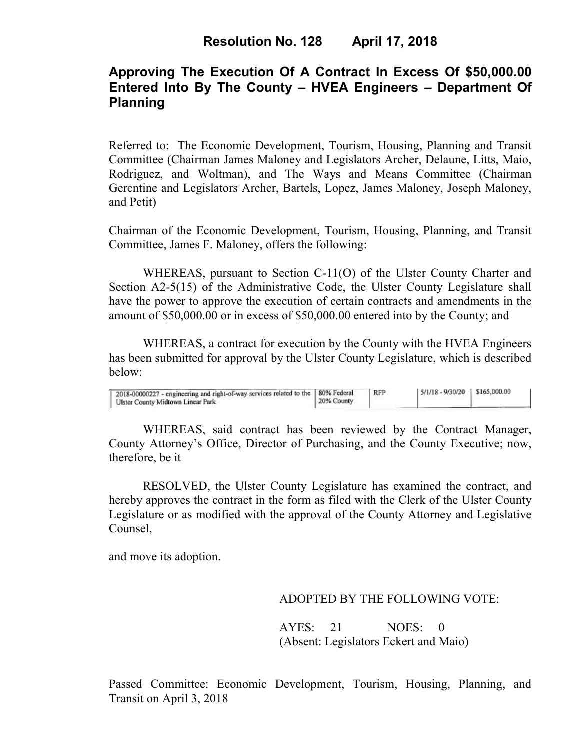# **Approving The Execution Of A Contract In Excess Of \$50,000.00 Entered Into By The County – HVEA Engineers – Department Of Planning**

Referred to: The Economic Development, Tourism, Housing, Planning and Transit Committee (Chairman James Maloney and Legislators Archer, Delaune, Litts, Maio, Rodriguez, and Woltman), and The Ways and Means Committee (Chairman Gerentine and Legislators Archer, Bartels, Lopez, James Maloney, Joseph Maloney, and Petit)

Chairman of the Economic Development, Tourism, Housing, Planning, and Transit Committee, James F. Maloney, offers the following:

WHEREAS, pursuant to Section C-11(O) of the Ulster County Charter and Section A2-5(15) of the Administrative Code, the Ulster County Legislature shall have the power to approve the execution of certain contracts and amendments in the amount of \$50,000.00 or in excess of \$50,000.00 entered into by the County; and

 WHEREAS, a contract for execution by the County with the HVEA Engineers has been submitted for approval by the Ulster County Legislature, which is described below:

| 2018-00000227 - engineering and right-of-way services related to the   80% Federal<br>Ulster County Midtown Linear Park | 20% County | <b>RFP</b> | $5/1/18 - 9/30/20$ \$165,000.00 |  |  |
|-------------------------------------------------------------------------------------------------------------------------|------------|------------|---------------------------------|--|--|
|-------------------------------------------------------------------------------------------------------------------------|------------|------------|---------------------------------|--|--|

WHEREAS, said contract has been reviewed by the Contract Manager, County Attorney's Office, Director of Purchasing, and the County Executive; now, therefore, be it

RESOLVED, the Ulster County Legislature has examined the contract, and hereby approves the contract in the form as filed with the Clerk of the Ulster County Legislature or as modified with the approval of the County Attorney and Legislative Counsel,

and move its adoption.

## ADOPTED BY THE FOLLOWING VOTE:

AYES: 21 NOES: 0 (Absent: Legislators Eckert and Maio)

Passed Committee: Economic Development, Tourism, Housing, Planning, and Transit on April 3, 2018